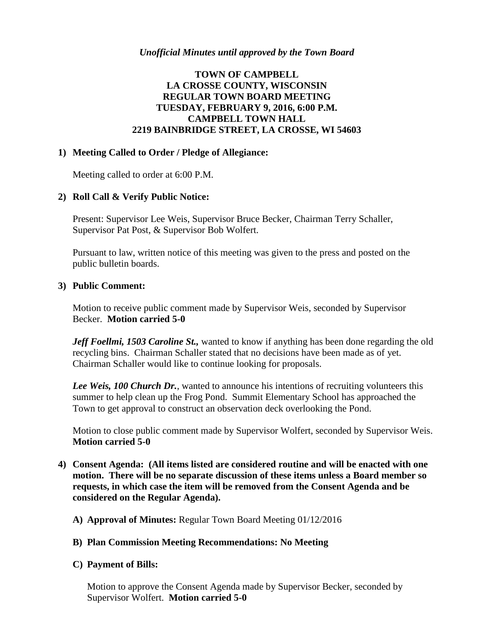#### *Unofficial Minutes until approved by the Town Board*

# **TOWN OF CAMPBELL LA CROSSE COUNTY, WISCONSIN REGULAR TOWN BOARD MEETING TUESDAY, FEBRUARY 9, 2016, 6:00 P.M. CAMPBELL TOWN HALL 2219 BAINBRIDGE STREET, LA CROSSE, WI 54603**

#### **1) Meeting Called to Order / Pledge of Allegiance:**

Meeting called to order at 6:00 P.M.

#### **2) Roll Call & Verify Public Notice:**

Present: Supervisor Lee Weis, Supervisor Bruce Becker, Chairman Terry Schaller, Supervisor Pat Post, & Supervisor Bob Wolfert.

Pursuant to law, written notice of this meeting was given to the press and posted on the public bulletin boards.

#### **3) Public Comment:**

Motion to receive public comment made by Supervisor Weis, seconded by Supervisor Becker. **Motion carried 5-0**

*Jeff Foellmi, 1503 Caroline St.,* wanted to know if anything has been done regarding the old recycling bins. Chairman Schaller stated that no decisions have been made as of yet. Chairman Schaller would like to continue looking for proposals.

*Lee Weis, 100 Church Dr.*, wanted to announce his intentions of recruiting volunteers this summer to help clean up the Frog Pond. Summit Elementary School has approached the Town to get approval to construct an observation deck overlooking the Pond.

Motion to close public comment made by Supervisor Wolfert, seconded by Supervisor Weis. **Motion carried 5-0**

- **4) Consent Agenda: (All items listed are considered routine and will be enacted with one motion. There will be no separate discussion of these items unless a Board member so requests, in which case the item will be removed from the Consent Agenda and be considered on the Regular Agenda).**
	- **A) Approval of Minutes:** Regular Town Board Meeting 01/12/2016
	- **B) Plan Commission Meeting Recommendations: No Meeting**
	- **C) Payment of Bills:**

Motion to approve the Consent Agenda made by Supervisor Becker, seconded by Supervisor Wolfert. **Motion carried 5-0**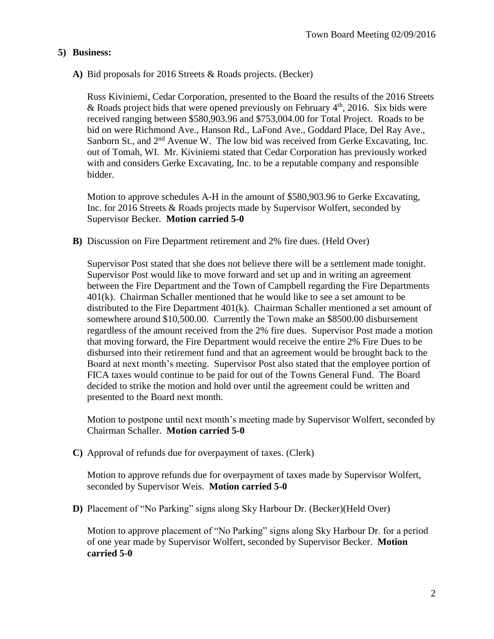## **5) Business:**

**A)** Bid proposals for 2016 Streets & Roads projects. (Becker)

Russ Kiviniemi, Cedar Corporation, presented to the Board the results of the 2016 Streets & Roads project bids that were opened previously on February  $4<sup>th</sup>$ , 2016. Six bids were received ranging between \$580,903.96 and \$753,004.00 for Total Project. Roads to be bid on were Richmond Ave., Hanson Rd., LaFond Ave., Goddard Place, Del Ray Ave., Sanborn St., and 2<sup>nd</sup> Avenue W. The low bid was received from Gerke Excavating, Inc. out of Tomah, WI. Mr. Kiviniemi stated that Cedar Corporation has previously worked with and considers Gerke Excavating, Inc. to be a reputable company and responsible bidder.

Motion to approve schedules A-H in the amount of \$580,903.96 to Gerke Excavating, Inc. for 2016 Streets & Roads projects made by Supervisor Wolfert, seconded by Supervisor Becker. **Motion carried 5-0**

**B)** Discussion on Fire Department retirement and 2% fire dues. (Held Over)

Supervisor Post stated that she does not believe there will be a settlement made tonight. Supervisor Post would like to move forward and set up and in writing an agreement between the Fire Department and the Town of Campbell regarding the Fire Departments 401(k). Chairman Schaller mentioned that he would like to see a set amount to be distributed to the Fire Department  $401(k)$ . Chairman Schaller mentioned a set amount of somewhere around \$10,500.00. Currently the Town make an \$8500.00 disbursement regardless of the amount received from the 2% fire dues. Supervisor Post made a motion that moving forward, the Fire Department would receive the entire 2% Fire Dues to be disbursed into their retirement fund and that an agreement would be brought back to the Board at next month's meeting. Supervisor Post also stated that the employee portion of FICA taxes would continue to be paid for out of the Towns General Fund. The Board decided to strike the motion and hold over until the agreement could be written and presented to the Board next month.

Motion to postpone until next month's meeting made by Supervisor Wolfert, seconded by Chairman Schaller. **Motion carried 5-0**

**C)** Approval of refunds due for overpayment of taxes. (Clerk)

Motion to approve refunds due for overpayment of taxes made by Supervisor Wolfert, seconded by Supervisor Weis. **Motion carried 5-0**

**D)** Placement of "No Parking" signs along Sky Harbour Dr. (Becker)(Held Over)

Motion to approve placement of "No Parking" signs along Sky Harbour Dr. for a period of one year made by Supervisor Wolfert, seconded by Supervisor Becker. **Motion carried 5-0**